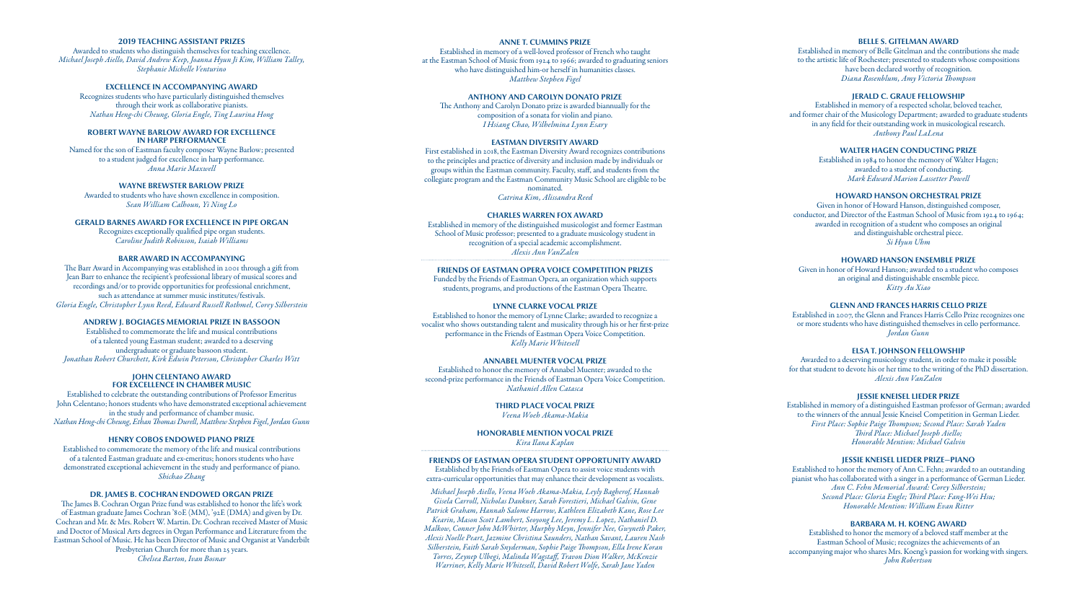# **2019 TEACHING ASSISTANT PRIZES**

Awarded to students who distinguish themselves for teaching excellence. *Michael Joseph Aiello, David Andrew Keep, Joanna Hyun Ji Kim, William Talley, Stephanie Michelle Venturino*

# **EXCELLENCE IN ACCOMPANYING AWARD**

Recognizes students who have particularly distinguished themselves through their work as collaborative pianists. *Nathan Heng-chi Cheung, Gloria Engle, Ting Laurina Hong*

#### **ROBERT WAYNE BARLOW AWARD FOR EXCELLENCE IN HARP PERFORMANCE**

Named for the son of Eastman faculty composer Wayne Barlow; presented to a student judged for excellence in harp performance. *Anna Marie Maxwell*

# **WAYNE BREWSTER BARLOW PRIZE**

Awarded to students who have shown excellence in composition. *Sean William Calhoun, Yi Ning Lo*

#### **GERALD BARNES AWARD FOR EXCELLENCE IN PIPE ORGAN**

Recognizes exceptionally qualified pipe organ students. *Caroline Judith Robinson, Isaiah Williams*

# **BARR AWARD IN ACCOMPANYING**

The Barr Award in Accompanying was established in 2001 through a gift from Jean Barr to enhance the recipient's professional library of musical scores and recordings and/or to provide opportunities for professional enrichment, such as attendance at summer music institutes/festivals. *Gloria Engle, Christopher Lynn Reed, Edward Russell Rothmel, Corey Silberstein*

# **ANDREW J. BOGIAGES MEMORIAL PRIZE IN BASSOON**

Established to commemorate the life and musical contributions of a talented young Eastman student; awarded to a deserving undergraduate or graduate bassoon student. *Jonathan Robert Churchett, Kirk Edwin Peterson, Christopher Charles Witt*

# **JOHN CELENTANO AWARD FOR EXCELLENCE IN CHAMBER MUSIC**

Established to celebrate the outstanding contributions of Professor Emeritus John Celentano; honors students who have demonstrated exceptional achievement in the study and performance of chamber music. *Nathan Heng-chi Cheung, Ethan Thomas Durell, Matthew Stephen Figel, Jordan Gunn*

# **HENRY COBOS ENDOWED PIANO PRIZE**

Established to commemorate the memory of the life and musical contributions of a talented Eastman graduate and ex-emeritus; honors students who have demonstrated exceptional achievement in the study and performance of piano. *Shichao Zhang*

# **DR. JAMES B. COCHRAN ENDOWED ORGAN PRIZE**

The James B. Cochran Organ Prize fund was established to honor the life's work of Eastman graduate James Cochran '80E (MM), '92E (DMA) and given by Dr. Cochran and Mr. & Mrs. Robert W. Martin. Dr. Cochran received Master of Music and Doctor of Musical Arts degrees in Organ Performance and Literature from the Eastman School of Music. He has been Director of Music and Organist at Vanderbilt Presbyterian Church for more than 25 years. *Chelsea Barton, Ivan Bosnar*

### **ANNE T. CUMMINS PRIZE**

Established in memory of a well-loved professor of French who taught at the Eastman School of Music from 1924 to 1966; awarded to graduating seniors who have distinguished him-or herself in humanities classes. *Matthew Stephen Figel*

#### **ANTHONY AND CAROLYN DONATO PRIZE**

The Anthony and Carolyn Donato prize is awarded biannually for the composition of a sonata for violin and piano. *I Hsiang Chao, Wilhelmina Lynn Esary*

# **EASTMAN DIVERSITY AWARD**

First established in 2018, the Eastman Diversity Award recognizes contributions to the principles and practice of diversity and inclusion made by individuals or groups within the Eastman community. Faculty, staff, and students from the collegiate program and the Eastman Community Music School are eligible to be nominated. *Catrina Kim, Alissandra Reed*

#### **CHARLES WARREN FOX AWARD**

Established in memory of the distinguished musicologist and former Eastman School of Music professor; presented to a graduate musicology student in recognition of a special academic accomplishment. *Alexis Ann VanZalen*

#### **FRIENDS OF EASTMAN OPERA VOICE COMPETITION PRIZES**

Funded by the Friends of Eastman Opera, an organization which supports students, programs, and productions of the Eastman Opera Theatre.

# **LYNNE CLARKE VOCAL PRIZE**

Established to honor the memory of Lynne Clarke; awarded to recognize a vocalist who shows outstanding talent and musicality through his or her first-prize performance in the Friends of Eastman Opera Voice Competition. *Kelly Marie Whitesell*

# **ANNABEL MUENTER VOCAL PRIZE**

Established to honor the memory of Annabel Muenter; awarded to the second-prize performance in the Friends of Eastman Opera Voice Competition. *Nathaniel Allen Catasca*

#### **THIRD PLACE VOCAL PRIZE** *Veena Woeh Akama-Makia*

**HONORABLE MENTION VOCAL PRIZE** *Kira Ilana Kaplan*

#### **FRIENDS OF EASTMAN OPERA STUDENT OPPORTUNITY AWARD**

Established by the Friends of Eastman Opera to assist voice students with extra-curricular opportunities that may enhance their development as vocalists.

*Michael Joseph Aiello, Veena Woeh Akama-Makia, Leyly Bagherof, Hannah Gisela Carroll, Nicholas Dankner, Sarah Forestieri, Michael Galvin, Gene Patrick Graham, Hannah Salome Harrow, Kathleen Elizabeth Kane, Rose Lee Kearin, Mason Scott Lambert, Seoyong Lee, Jeremy L. Lopez, Nathaniel D. Malkow, Conner John McWhirter, Murphy Meyn, Jennifer Nee, Gwyneth Paker, Alexis Noelle Peart, Jazmine Christina Saunders, Nathan Savant, Lauren Nash Silberstein, Faith Sarah Snyderman, Sophie Paige Thompson, Ella Irene Koran Torres, Zeynep Ulbegi, Malinda Wagstaff, Travon Dion Walker, McKenzie Warriner, Kelly Marie Whitesell, David Robert Wolfe, Sarah Jane Yaden*

# **BELLE S. GITELMAN AWARD**

Established in memory of Belle Gitelman and the contributions she made to the artistic life of Rochester; presented to students whose compositions have been declared worthy of recognition. *Diana Rosenblum, Amy Victoria Thompson*

# **JERALD C. GRAUE FELLOWSHIP**

Established in memory of a respected scholar, beloved teacher, and former chair of the Musicology Department; awarded to graduate students in any field for their outstanding work in musicological research. *Anthony Paul LaLena*

# **WALTER HAGEN CONDUCTING PRIZE**

Established in 1984 to honor the memory of Walter Hagen; awarded to a student of conducting. *Mark Edward Marion Lassetter Powell*

# **HOWARD HANSON ORCHESTRAL PRIZE**

Given in honor of Howard Hanson, distinguished composer, conductor, and Director of the Eastman School of Music from 1924 to 1964; awarded in recognition of a student who composes an original and distinguishable orchestral piece. *Si Hyun Uhm*

# **HOWARD HANSON ENSEMBLE PRIZE**

Given in honor of Howard Hanson; awarded to a student who composes an original and distinguishable ensemble piece. *Kitty Au Xiao* 

# **GLENN AND FRANCES HARRIS CELLO PRIZE**

Established in 2007, the Glenn and Frances Harris Cello Prize recognizes one or more students who have distinguished themselves in cello performance. *Jordan Gunn*

# **ELSA T. JOHNSON FELLOWSHIP**

Awarded to a deserving musicology student, in order to make it possible for that student to devote his or her time to the writing of the PhD dissertation. *Alexis Ann VanZalen*

# **JESSIE KNEISEL LIEDER PRIZE**

Established in memory of a distinguished Eastman professor of German; awarded to the winners of the annual Jessie Kneisel Competition in German Lieder. *First Place: Sophie Paige Thompson; Second Place: Sarah Yaden Third Place: Michael Joseph Aiello; Honorable Mention: Michael Galvin*

### **JESSIE KNEISEL LIEDER PRIZE—PIANO**

Established to honor the memory of Ann C. Fehn; awarded to an outstanding pianist who has collaborated with a singer in a performance of German Lieder. *Ann C. Fehn Memorial Award: Corey Silberstein; Second Place: Gloria Engle; Third Place: Fang-Wei Hsu; Honorable Mention: William Evan Ritter*

# **BARBARA M. H. KOENG AWARD**

Established to honor the memory of a beloved staff member at the Eastman School of Music; recognizes the achievements of an accompanying major who shares Mrs. Koeng's passion for working with singers. *John Robertson*